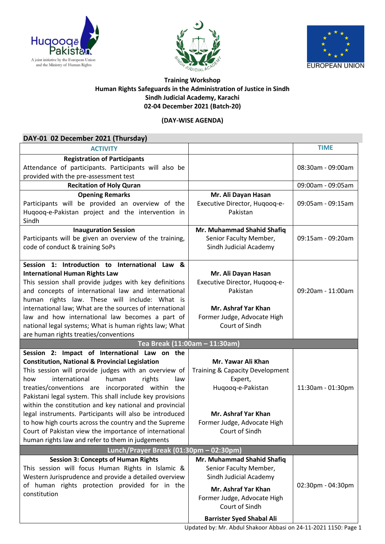





## **Training Workshop Human Rights Safeguards in the Administration of Justice in Sindh Sindh Judicial Academy, Karachi 02-04 December 2021 (Batch-20)**

## **(DAY-WISE AGENDA)**

| DAY-01 02 December 2021 (Thursday)                                                                                                    |                                                  |                   |
|---------------------------------------------------------------------------------------------------------------------------------------|--------------------------------------------------|-------------------|
| <b>ACTIVITY</b>                                                                                                                       |                                                  | <b>TIME</b>       |
| <b>Registration of Participants</b><br>Attendance of participants. Participants will also be<br>provided with the pre-assessment test |                                                  | 08:30am - 09:00am |
| <b>Recitation of Holy Quran</b>                                                                                                       |                                                  | 09:00am - 09:05am |
| <b>Opening Remarks</b>                                                                                                                | Mr. Ali Dayan Hasan                              |                   |
| Participants will be provided an overview of the<br>Huqooq-e-Pakistan project and the intervention in<br>Sindh                        | Executive Director, Hugoog-e-<br>Pakistan        | 09:05am - 09:15am |
| <b>Inauguration Session</b>                                                                                                           | Mr. Muhammad Shahid Shafiq                       |                   |
| Participants will be given an overview of the training,<br>code of conduct & training SoPs                                            | Senior Faculty Member,<br>Sindh Judicial Academy | 09:15am - 09:20am |
| Session 1: Introduction to International Law<br>84                                                                                    |                                                  |                   |
| <b>International Human Rights Law</b>                                                                                                 | Mr. Ali Dayan Hasan                              |                   |
| This session shall provide judges with key definitions                                                                                | Executive Director, Hugoog-e-                    |                   |
| and concepts of international law and international                                                                                   | Pakistan                                         | 09:20am - 11:00am |
| human rights law. These will include: What is                                                                                         |                                                  |                   |
| international law; What are the sources of international                                                                              | Mr. Ashraf Yar Khan                              |                   |
| law and how international law becomes a part of                                                                                       | Former Judge, Advocate High                      |                   |
| national legal systems; What is human rights law; What                                                                                | Court of Sindh                                   |                   |
| are human rights treaties/conventions<br>Tea Break (11:00am - 11:30am)                                                                |                                                  |                   |
| Session 2: Impact of International Law on the                                                                                         |                                                  |                   |
| <b>Constitution, National &amp; Provincial Legislation</b>                                                                            | Mr. Yawar Ali Khan                               |                   |
| This session will provide judges with an overview of                                                                                  | Training & Capacity Development                  |                   |
| international<br>human<br>rights<br>how<br>law                                                                                        | Expert,                                          |                   |
| treaties/conventions are incorporated within the                                                                                      | Huqooq-e-Pakistan                                | 11:30am - 01:30pm |
| Pakistani legal system. This shall include key provisions<br>within the constitution and key national and provincial                  |                                                  |                   |
| legal instruments. Participants will also be introduced                                                                               | Mr. Ashraf Yar Khan                              |                   |
| to how high courts across the country and the Supreme                                                                                 | Former Judge, Advocate High                      |                   |
| Court of Pakistan view the importance of international                                                                                | Court of Sindh                                   |                   |
| human rights law and refer to them in judgements                                                                                      |                                                  |                   |
| Lunch/Prayer Break (01:30pm - 02:30pm)                                                                                                |                                                  |                   |
| <b>Session 3: Concepts of Human Rights</b>                                                                                            | Mr. Muhammad Shahid Shafiq                       |                   |
| This session will focus Human Rights in Islamic &                                                                                     | Senior Faculty Member,                           |                   |
| Western Jurisprudence and provide a detailed overview                                                                                 | Sindh Judicial Academy                           |                   |
| of human rights protection provided for in the<br>constitution                                                                        | Mr. Ashraf Yar Khan                              | 02:30pm - 04:30pm |
|                                                                                                                                       | Former Judge, Advocate High                      |                   |
|                                                                                                                                       | Court of Sindh                                   |                   |
|                                                                                                                                       | <b>Barrister Syed Shabal Ali</b>                 |                   |

Updated by: Mr. Abdul Shakoor Abbasi on 24-11-2021 1150: Page 1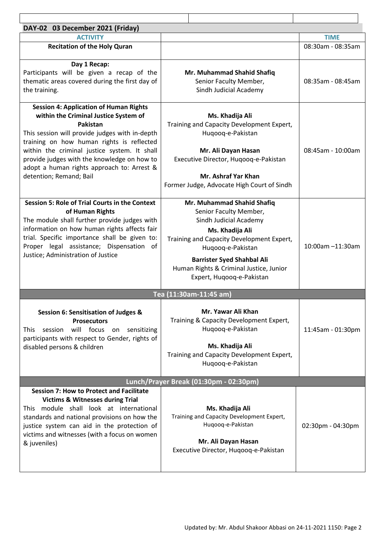| DAY-02 03 December 2021 (Friday)                                                                                                                                                                                                                                                                                                                                          |                                                                                                                                                                                                                                                                                  |                   |  |  |
|---------------------------------------------------------------------------------------------------------------------------------------------------------------------------------------------------------------------------------------------------------------------------------------------------------------------------------------------------------------------------|----------------------------------------------------------------------------------------------------------------------------------------------------------------------------------------------------------------------------------------------------------------------------------|-------------------|--|--|
| <b>ACTIVITY</b>                                                                                                                                                                                                                                                                                                                                                           |                                                                                                                                                                                                                                                                                  | <b>TIME</b>       |  |  |
| <b>Recitation of the Holy Quran</b>                                                                                                                                                                                                                                                                                                                                       |                                                                                                                                                                                                                                                                                  | 08:30am - 08:35am |  |  |
| Day 1 Recap:<br>Participants will be given a recap of the<br>thematic areas covered during the first day of<br>the training.                                                                                                                                                                                                                                              | Mr. Muhammad Shahid Shafiq<br>Senior Faculty Member,<br>Sindh Judicial Academy                                                                                                                                                                                                   | 08:35am - 08:45am |  |  |
| <b>Session 4: Application of Human Rights</b><br>within the Criminal Justice System of<br>Pakistan<br>This session will provide judges with in-depth<br>training on how human rights is reflected<br>within the criminal justice system. It shall<br>provide judges with the knowledge on how to<br>adopt a human rights approach to: Arrest &<br>detention; Remand; Bail | Ms. Khadija Ali<br>Training and Capacity Development Expert,<br>Huqooq-e-Pakistan<br>Mr. Ali Dayan Hasan<br>Executive Director, Hugoog-e-Pakistan<br>Mr. Ashraf Yar Khan<br>Former Judge, Advocate High Court of Sindh                                                           | 08:45am - 10:00am |  |  |
| <b>Session 5: Role of Trial Courts in the Context</b><br>of Human Rights<br>The module shall further provide judges with<br>information on how human rights affects fair<br>trial. Specific importance shall be given to:<br>Proper legal assistance; Dispensation of<br>Justice; Administration of Justice                                                               | Mr. Muhammad Shahid Shafiq<br>Senior Faculty Member,<br>Sindh Judicial Academy<br>Ms. Khadija Ali<br>Training and Capacity Development Expert,<br>Huqooq-e-Pakistan<br><b>Barrister Syed Shahbal Ali</b><br>Human Rights & Criminal Justice, Junior<br>Expert, Huqooq-e-Pakistan | 10:00am -11:30am  |  |  |
| Tea (11:30am-11:45 am)                                                                                                                                                                                                                                                                                                                                                    |                                                                                                                                                                                                                                                                                  |                   |  |  |
| Session 6: Sensitisation of Judges &<br><b>Prosecutors</b><br>will focus on sensitizing<br>session<br><b>This</b><br>participants with respect to Gender, rights of<br>disabled persons & children                                                                                                                                                                        | Mr. Yawar Ali Khan<br>Training & Capacity Development Expert,<br>Hugoog-e-Pakistan<br>Ms. Khadija Ali<br>Training and Capacity Development Expert,<br>Huqooq-e-Pakistan                                                                                                          | 11:45am - 01:30pm |  |  |
| Lunch/Prayer Break (01:30pm - 02:30pm)                                                                                                                                                                                                                                                                                                                                    |                                                                                                                                                                                                                                                                                  |                   |  |  |
| <b>Session 7: How to Protect and Facilitate</b><br><b>Victims &amp; Witnesses during Trial</b><br>This module shall look at international<br>standards and national provisions on how the<br>justice system can aid in the protection of<br>victims and witnesses (with a focus on women<br>& juveniles)                                                                  | Ms. Khadija Ali<br>Training and Capacity Development Expert,<br>Huqooq-e-Pakistan<br>Mr. Ali Dayan Hasan<br>Executive Director, Hugoog-e-Pakistan                                                                                                                                | 02:30pm - 04:30pm |  |  |